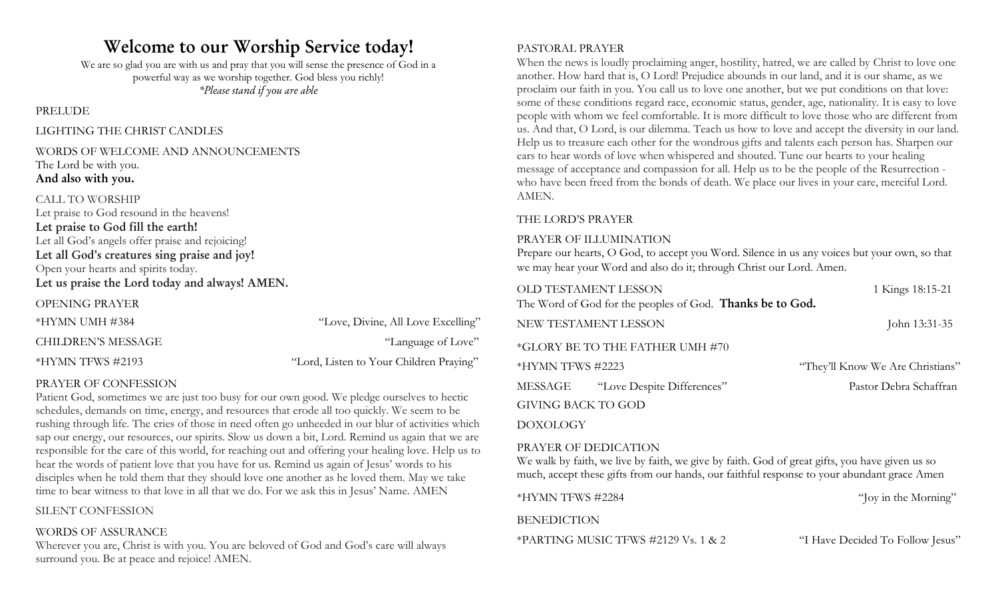# **Welcome to our Worship Service today!**

We are so glad you are with us and pray that you will sense the presence of God in a powerful way as we worship together. God bless you richly! *\*Please stand if you are able*

PRELUDE

#### LIGHTING THE CHRIST CANDLES

#### WORDS OF WELCOME AND ANNOUNCEMENTS The Lord be with you. **And also with you.**

## CALL TO WORSHIP

Let praise to God resound in the heavens! **Let praise to God fill the earth!** Let all God's angels offer praise and rejoicing! **Let all God's creatures sing praise and joy!** Open your hearts and spirits today. **Let us praise the Lord today and always! AMEN.**

| <b>OPENING PRAYER</b>     |                                         |
|---------------------------|-----------------------------------------|
| *HYMN UMH #384            | "Love, Divine, All Love Excelling"      |
| <b>CHILDREN'S MESSAGE</b> | "Language of Love"                      |
| $*HYMN$ TFWS #2193        | "Lord, Listen to Your Children Praying" |

#### PRAYER OF CONFESSION

Patient God, sometimes we are just too busy for our own good. We pledge ourselves to hectic schedules, demands on time, energy, and resources that erode all too quickly. We seem to be rushing through life. The cries of those in need often go unheeded in our blur of activities which sap our energy, our resources, our spirits. Slow us down a bit, Lord. Remind us again that we are responsible for the care of this world, for reaching out and offering your healing love. Help us to hear the words of patient love that you have for us. Remind us again of Jesus' words to his disciples when he told them that they should love one another as he loved them. May we take time to bear witness to that love in all that we do. For we ask this in Jesus' Name. AMEN

#### SILENT CONFESSION

#### WORDS OF ASSURANCE

Wherever you are, Christ is with you. You are beloved of God and God's care will always surround you. Be at peace and rejoice! AMEN.

#### PASTORAL PRAYER

When the news is loudly proclaiming anger, hostility, hatred, we are called by Christ to love one another. How hard that is, O Lord! Prejudice abounds in our land, and it is our shame, as we proclaim our faith in you. You call us to love one another, but we put conditions on that love: some of these conditions regard race, economic status, gender, age, nationality. It is easy to love people with whom we feel comfortable. It is more difficult to love those who are different from us. And that, O Lord, is our dilemma. Teach us how to love and accept the diversity in our land. Help us to treasure each other for the wondrous gifts and talents each person has. Sharpen our ears to hear words of love when whispered and shouted. Tune our hearts to your healing message of acceptance and compassion for all. Help us to be the people of the Resurrection who have been freed from the bonds of death. We place our lives in your care, merciful Lord. AMEN.

#### THE LORD'S PRAYER

#### PRAYER OF ILLUMINATION

Prepare our hearts, O God, to accept you Word. Silence in us any voices but your own, so that we may hear your Word and also do it; through Christ our Lord. Amen.

| OLD TESTAMENT LESSON | The Word of God for the peoples of God. <b>Thanks be to God.</b> | 1 Kings 18:15-21                 |
|----------------------|------------------------------------------------------------------|----------------------------------|
| NEW TESTAMENT LESSON |                                                                  | John 13:31-35                    |
|                      | *GLORY BE TO THE FATHER UMH #70                                  |                                  |
| *HYMN TFWS #2223     |                                                                  | "They'll Know We Are Christians" |
|                      | MESSAGE "Love Despite Differences"                               | Pastor Debra Schaffran           |
| GIVING BACK TO GOD   |                                                                  |                                  |
| <b>DOXOLOGY</b>      |                                                                  |                                  |
| PRAYER OF DEDICATION |                                                                  |                                  |

We walk by faith, we live by faith, we give by faith. God of great gifts, you have given us so much, accept these gifts from our hands, our faithful response to your abundant grace Amen

\*HYMN TFWS #2284 "Joy in the Morning"

**BENEDICTION** 

\*PARTING MUSIC TFWS #2129 Vs. 1 & 2 "I Have Decided To Follow Jesus"